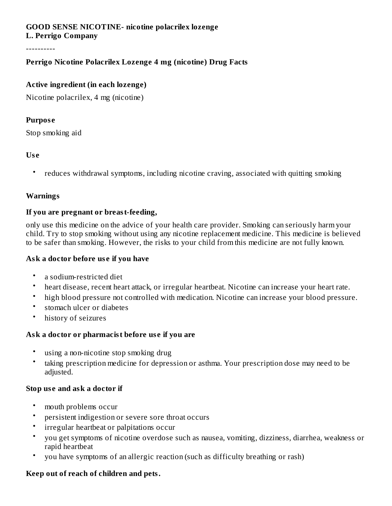#### **GOOD SENSE NICOTINE- nicotine polacrilex lozenge L. Perrigo Company**

----------

#### **Perrigo Nicotine Polacrilex Lozenge 4 mg (nicotine) Drug Facts**

#### **Active ingredient (in each lozenge)**

Nicotine polacrilex, 4 mg (nicotine)

#### **Purpos e**

Stop smoking aid

#### **Us e**

• reduces withdrawal symptoms, including nicotine craving, associated with quitting smoking

#### **Warnings**

#### **If you are pregnant or breast-feeding,**

only use this medicine on the advice of your health care provider. Smoking can seriously harm your child. Try to stop smoking without using any nicotine replacement medicine. This medicine is believed to be safer than smoking. However, the risks to your child from this medicine are not fully known.

#### **Ask a doctor before us e if you have**

- a sodium-restricted diet
- heart disease, recent heart attack, or irregular heartbeat. Nicotine can increase your heart rate.
- high blood pressure not controlled with medication. Nicotine can increase your blood pressure.
- stomach ulcer or diabetes
- history of seizures

#### **Ask a doctor or pharmacist before us e if you are**

- using a non-nicotine stop smoking drug
- taking prescription medicine for depression or asthma. Your prescription dose may need to be adjusted.

#### **Stop us e and ask a doctor if**

- mouth problems occur
- persistent indigestion or severe sore throat occurs
- irregular heartbeat or palpitations occur
- you get symptoms of nicotine overdose such as nausea, vomiting, dizziness, diarrhea, weakness or rapid heartbeat
- you have symptoms of an allergic reaction (such as difficulty breathing or rash)

#### **Keep out of reach of children and pets.**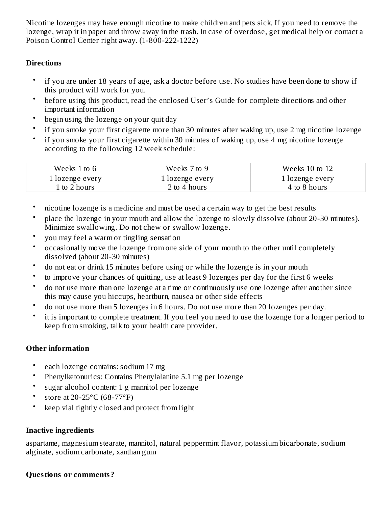Nicotine lozenges may have enough nicotine to make children and pets sick. If you need to remove the lozenge, wrap it in paper and throw away in the trash. In case of overdose, get medical help or contact a Poison Control Center right away. (1-800-222-1222)

## **Directions**

- if you are under 18 years of age, ask a doctor before use. No studies have been done to show if this product will work for you.
- before using this product, read the enclosed User's Guide for complete directions and other important information
- begin using the lozenge on your quit day
- if you smoke your first cigarette more than 30 minutes after waking up, use 2 mg nicotine lozenge
- if you smoke your first cigarette within 30 minutes of waking up, use 4 mg nicotine lozenge according to the following 12 week schedule:

| Weeks 1 to 6    | Weeks 7 to 9    | Weeks 10 to 12  |  |  |
|-----------------|-----------------|-----------------|--|--|
| 1 lozenge every | 1 lozenge every | 1 lozenge every |  |  |
| 1 to 2 hours    | 2 to 4 hours    | 4 to 8 hours    |  |  |

- nicotine lozenge is a medicine and must be used a certain way to get the best results
- place the lozenge in your mouth and allow the lozenge to slowly dissolve (about 20-30 minutes). Minimize swallowing. Do not chew or swallow lozenge.
- you may feel a warm or tingling sensation
- occasionally move the lozenge from one side of your mouth to the other until completely dissolved (about 20-30 minutes)
- do not eat or drink 15 minutes before using or while the lozenge is in your mouth
- to improve your chances of quitting, use at least 9 lozenges per day for the first 6 weeks
- do not use more than one lozenge at a time or continuously use one lozenge after another since this may cause you hiccups, heartburn, nausea or other side effects
- do not use more than 5 lozenges in 6 hours. Do not use more than 20 lozenges per day.
- it is important to complete treatment. If you feel you need to use the lozenge for a longer period to keep from smoking, talk to your health care provider.

# **Other information**

- each lozenge contains: sodium 17 mg
- Phenylketonurics: Contains Phenylalanine 5.1 mg per lozenge
- sugar alcohol content: 1 g mannitol per lozenge
- store at 20-25°C (68-77°F)
- keep vial tightly closed and protect from light

## **Inactive ingredients**

aspartame, magnesium stearate, mannitol, natural peppermint flavor, potassium bicarbonate, sodium alginate, sodium carbonate, xanthan gum

## **Questions or comments?**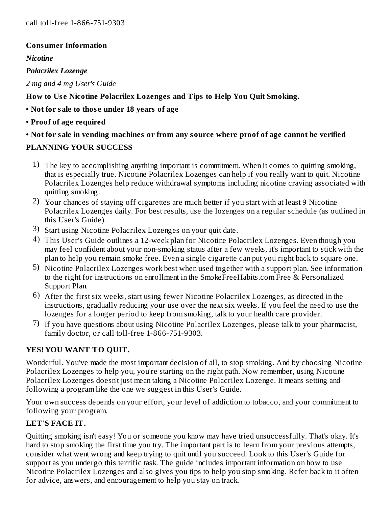## **Consumer Information**

*Nicotine*

*Polacrilex Lozenge*

*2 mg and 4 mg User's Guide*

**How to Us e Nicotine Polacrilex Lozenges and Tips to Help You Quit Smoking.**

**• Not for sale to thos e under 18 years of age**

**• Proof of age required**

# **• Not for sale in vending machines or from any source where proof of age cannot be verified**

# **PLANNING YOUR SUCCESS**

- 1) The key to accomplishing anything important is commitment. When it comes to quitting smoking, that is especially true. Nicotine Polacrilex Lozenges can help if you really want to quit. Nicotine Polacrilex Lozenges help reduce withdrawal symptoms including nicotine craving associated with quitting smoking.
- 2) Your chances of staying off cigarettes are much better if you start with at least 9 Nicotine Polacrilex Lozenges daily. For best results, use the lozenges on a regular schedule (as outlined in this User's Guide).
- 3) Start using Nicotine Polacrilex Lozenges on your quit date.
- 4) This User's Guide outlines a 12-week plan for Nicotine Polacrilex Lozenges. Even though you may feel confident about your non-smoking status after a few weeks, it's important to stick with the plan to help you remain smoke free. Even a single cigarette can put you right back to square one.
- 5) Nicotine Polacrilex Lozenges work best when used together with a support plan. See information to the right for instructions on enrollment in the SmokeFreeHabits.com Free & Personalized Support Plan.
- 6) After the first six weeks, start using fewer Nicotine Polacrilex Lozenges, as directed in the instructions, gradually reducing your use over the next six weeks. If you feel the need to use the lozenges for a longer period to keep from smoking, talk to your health care provider.
- 7) If you have questions about using Nicotine Polacrilex Lozenges, please talk to your pharmacist, family doctor, or call toll-free 1-866-751-9303.

# **YES! YOU WANT TO QUIT.**

Wonderful. You've made the most important decision of all, to stop smoking. And by choosing Nicotine Polacrilex Lozenges to help you, you're starting on the right path. Now remember, using Nicotine Polacrilex Lozenges doesn't just mean taking a Nicotine Polacrilex Lozenge. It means setting and following a program like the one we suggest in this User's Guide.

Your own success depends on your effort, your level of addiction to tobacco, and your commitment to following your program.

# **LET'S FACE IT.**

Quitting smoking isn't easy! You or someone you know may have tried unsuccessfully. That's okay. It's hard to stop smoking the first time you try. The important part is to learn from your previous attempts, consider what went wrong and keep trying to quit until you succeed. Look to this User's Guide for support as you undergo this terrific task. The guide includes important information on how to use Nicotine Polacrilex Lozenges and also gives you tips to help you stop smoking. Refer back to it often for advice, answers, and encouragement to help you stay on track.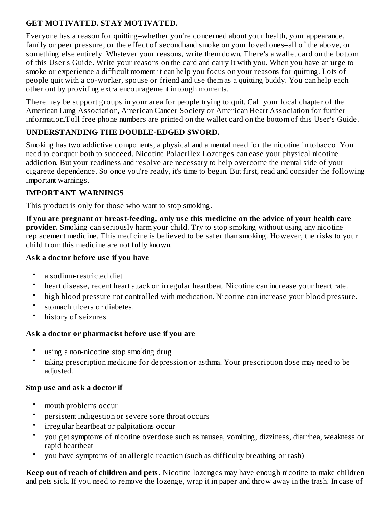## **GET MOTIVATED. STAY MOTIVATED.**

Everyone has a reason for quitting–whether you're concerned about your health, your appearance, family or peer pressure, or the effect of secondhand smoke on your loved ones–all of the above, or something else entirely. Whatever your reasons, write them down. There's a wallet card on the bottom of this User's Guide. Write your reasons on the card and carry it with you. When you have an urge to smoke or experience a difficult moment it can help you focus on your reasons for quitting. Lots of people quit with a co-worker, spouse or friend and use them as a quitting buddy. You can help each other out by providing extra encouragement in tough moments.

There may be support groups in your area for people trying to quit. Call your local chapter of the American Lung Association, American Cancer Society or American Heart Association for further information.Toll free phone numbers are printed on the wallet card on the bottom of this User's Guide.

## **UNDERSTANDING THE DOUBLE-EDGED SWORD.**

Smoking has two addictive components, a physical and a mental need for the nicotine in tobacco. You need to conquer both to succeed. Nicotine Polacrilex Lozenges can ease your physical nicotine addiction. But your readiness and resolve are necessary to help overcome the mental side of your cigarette dependence. So once you're ready, it's time to begin. But first, read and consider the following important warnings.

## **IMPORTANT WARNINGS**

This product is only for those who want to stop smoking.

**If you are pregnant or breast-feeding, only us e this medicine on the advice of your health care provider.** Smoking can seriously harm your child. Try to stop smoking without using any nicotine replacement medicine. This medicine is believed to be safer than smoking. However, the risks to your child from this medicine are not fully known.

## **Ask a doctor before us e if you have**

- a sodium-restricted diet
- heart disease, recent heart attack or irregular heartbeat. Nicotine can increase your heart rate.
- high blood pressure not controlled with medication. Nicotine can increase your blood pressure.
- stomach ulcers or diabetes.
- history of seizures

# **Ask a doctor or pharmacist before us e if you are**

- using a non-nicotine stop smoking drug
- taking prescription medicine for depression or asthma. Your prescription dose may need to be adjusted.

## **Stop us e and ask a doctor if**

- mouth problems occur
- persistent indigestion or severe sore throat occurs
- irregular heartbeat or palpitations occur
- you get symptoms of nicotine overdose such as nausea, vomiting, dizziness, diarrhea, weakness or rapid heartbeat
- you have symptoms of an allergic reaction (such as difficulty breathing or rash)

**Keep out of reach of children and pets.** Nicotine lozenges may have enough nicotine to make children and pets sick. If you need to remove the lozenge, wrap it in paper and throw away in the trash. In case of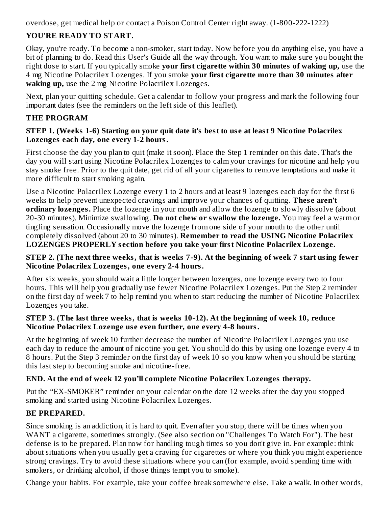overdose, get medical help or contact a Poison Control Center right away. (1-800-222-1222)

## **YOU'RE READY TO START.**

Okay, you're ready. To become a non-smoker, start today. Now before you do anything else, you have a bit of planning to do. Read this User's Guide all the way through. You want to make sure you bought the right dose to start. If you typically smoke **your first cigarette within 30 minutes of waking up,** use the 4 mg Nicotine Polacrilex Lozenges. If you smoke **your first cigarette more than 30 minutes after waking up,** use the 2 mg Nicotine Polacrilex Lozenges.

Next, plan your quitting schedule. Get a calendar to follow your progress and mark the following four important dates (see the reminders on the left side of this leaflet).

## **THE PROGRAM**

#### STEP 1. (Weeks 1-6) Starting on your quit date it's best to use at least 9 Nicotine Polacrilex **Lozenges each day, one every 1-2 hours.**

First choose the day you plan to quit (make it soon). Place the Step 1 reminder on this date. That's the day you will start using Nicotine Polacrilex Lozenges to calm your cravings for nicotine and help you stay smoke free. Prior to the quit date, get rid of all your cigarettes to remove temptations and make it more difficult to start smoking again.

Use a Nicotine Polacrilex Lozenge every 1 to 2 hours and at least 9 lozenges each day for the first 6 weeks to help prevent unexpected cravings and improve your chances of quitting. **Thes e aren't ordinary lozenges.** Place the lozenge in your mouth and allow the lozenge to slowly dissolve (about 20-30 minutes). Minimize swallowing. **Do not chew or swallow the lozenge.** You may feel a warm or tingling sensation. Occasionally move the lozenge from one side of your mouth to the other until completely dissolved (about 20 to 30 minutes). **Remember to read the USING Nicotine Polacrilex LOZENGES PROPERLY s ection before you take your first Nicotine Polacrilex Lozenge.**

#### STEP 2. (The next three weeks, that is weeks 7-9). At the beginning of week 7 start using fewer **Nicotine Polacrilex Lozenges, one every 2-4 hours.**

After six weeks, you should wait a little longer between lozenges, one lozenge every two to four hours. This will help you gradually use fewer Nicotine Polacrilex Lozenges. Put the Step 2 reminder on the first day of week 7 to help remind you when to start reducing the number of Nicotine Polacrilex Lozenges you take.

### **STEP 3. (The last three weeks, that is weeks 10-12). At the beginning of week 10, reduce Nicotine Polacrilex Lozenge us e even further, one every 4-8 hours.**

At the beginning of week 10 further decrease the number of Nicotine Polacrilex Lozenges you use each day to reduce the amount of nicotine you get. You should do this by using one lozenge every 4 to 8 hours. Put the Step 3 reminder on the first day of week 10 so you know when you should be starting this last step to becoming smoke and nicotine-free.

# **END. At the end of week 12 you'll complete Nicotine Polacrilex Lozenges therapy.**

Put the "EX-SMOKER" reminder on your calendar on the date 12 weeks after the day you stopped smoking and started using Nicotine Polacrilex Lozenges.

# **BE PREPARED.**

Since smoking is an addiction, it is hard to quit. Even after you stop, there will be times when you WANT a cigarette, sometimes strongly. (See also section on "Challenges To Watch For"). The best defense is to be prepared. Plan now for handling tough times so you don't give in. For example: think about situations when you usually get a craving for cigarettes or where you think you might experience strong cravings. Try to avoid these situations where you can (for example, avoid spending time with smokers, or drinking alcohol, if those things tempt you to smoke).

Change your habits. For example, take your coffee break somewhere else. Take a walk. In other words,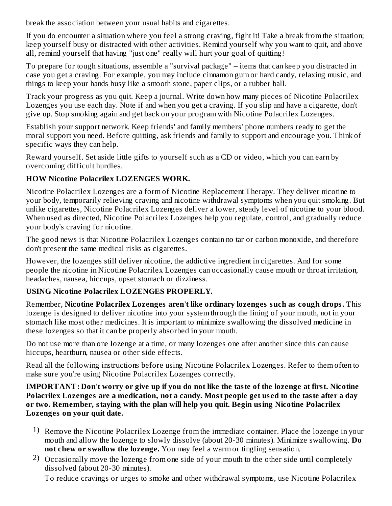break the association between your usual habits and cigarettes.

If you do encounter a situation where you feel a strong craving, fight it! Take a break from the situation; keep yourself busy or distracted with other activities. Remind yourself why you want to quit, and above all, remind yourself that having "just one" really will hurt your goal of quitting!

To prepare for tough situations, assemble a "survival package" – items that can keep you distracted in case you get a craving. For example, you may include cinnamon gum or hard candy, relaxing music, and things to keep your hands busy like a smooth stone, paper clips, or a rubber ball.

Track your progress as you quit. Keep a journal. Write down how many pieces of Nicotine Polacrilex Lozenges you use each day. Note if and when you get a craving. If you slip and have a cigarette, don't give up. Stop smoking again and get back on your program with Nicotine Polacrilex Lozenges.

Establish your support network. Keep friends' and family members' phone numbers ready to get the moral support you need. Before quitting, ask friends and family to support and encourage you. Think of specific ways they can help.

Reward yourself. Set aside little gifts to yourself such as a CD or video, which you can earn by overcoming difficult hurdles.

## **HOW Nicotine Polacrilex LOZENGES WORK.**

Nicotine Polacrilex Lozenges are a form of Nicotine Replacement Therapy. They deliver nicotine to your body, temporarily relieving craving and nicotine withdrawal symptoms when you quit smoking. But unlike cigarettes, Nicotine Polacrilex Lozenges deliver a lower, steady level of nicotine to your blood. When used as directed, Nicotine Polacrilex Lozenges help you regulate, control, and gradually reduce your body's craving for nicotine.

The good news is that Nicotine Polacrilex Lozenges contain no tar or carbon monoxide, and therefore don't present the same medical risks as cigarettes.

However, the lozenges still deliver nicotine, the addictive ingredient in cigarettes. And for some people the nicotine in Nicotine Polacrilex Lozenges can occasionally cause mouth or throat irritation, headaches, nausea, hiccups, upset stomach or dizziness.

# **USING Nicotine Polacrilex LOZENGES PROPERLY.**

Remember, **Nicotine Polacrilex Lozenges aren't like ordinary lozenges such as cough drops.** This lozenge is designed to deliver nicotine into your system through the lining of your mouth, not in your stomach like most other medicines. It is important to minimize swallowing the dissolved medicine in these lozenges so that it can be properly absorbed in your mouth.

Do not use more than one lozenge at a time, or many lozenges one after another since this can cause hiccups, heartburn, nausea or other side effects.

Read all the following instructions before using Nicotine Polacrilex Lozenges. Refer to them often to make sure you're using Nicotine Polacrilex Lozenges correctly.

IMPORTANT: Don't worry or give up if you do not like the taste of the lozenge at first. Nicotine Polacrilex Lozenges are a medication, not a candy. Most people get used to the taste after a day **or two. Remember, staying with the plan will help you quit. Begin using Nicotine Polacrilex Lozenges on your quit date.**

- 1) Remove the Nicotine Polacrilex Lozenge from the immediate container. Place the lozenge in your mouth and allow the lozenge to slowly dissolve (about 20-30 minutes). Minimize swallowing. **Do not chew or swallow the lozenge.** You may feel a warm or tingling sensation.
- 2) Occasionally move the lozenge from one side of your mouth to the other side until completely dissolved (about 20-30 minutes).

To reduce cravings or urges to smoke and other withdrawal symptoms, use Nicotine Polacrilex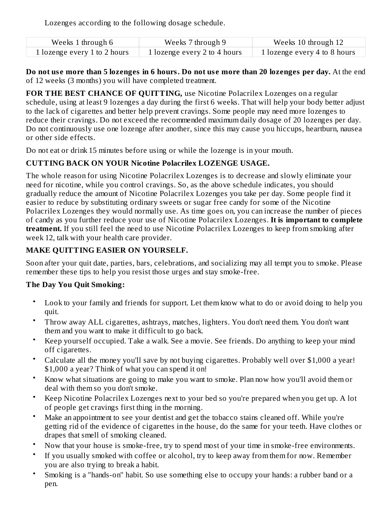Lozenges according to the following dosage schedule.

| Weeks 1 through 6            | Weeks 7 through 9            | Weeks 10 through 12          |  |  |
|------------------------------|------------------------------|------------------------------|--|--|
| 1 lozenge every 1 to 2 hours | 1 lozenge every 2 to 4 hours | 1 lozenge every 4 to 8 hours |  |  |

Do not use more than 5 lozenges in 6 hours. Do not use more than 20 lozenges per day. At the end of 12 weeks (3 months) you will have completed treatment.

**FOR THE BEST CHANCE OF QUITTING,** use Nicotine Polacrilex Lozenges on a regular schedule, using at least 9 lozenges a day during the first 6 weeks. That will help your body better adjust to the lack of cigarettes and better help prevent cravings. Some people may need more lozenges to reduce their cravings. Do not exceed the recommended maximum daily dosage of 20 lozenges per day. Do not continuously use one lozenge after another, since this may cause you hiccups, heartburn, nausea or other side effects.

Do not eat or drink 15 minutes before using or while the lozenge is in your mouth.

### **CUTTING BACK ON YOUR Nicotine Polacrilex LOZENGE USAGE.**

The whole reason for using Nicotine Polacrilex Lozenges is to decrease and slowly eliminate your need for nicotine, while you control cravings. So, as the above schedule indicates, you should gradually reduce the amount of Nicotine Polacrilex Lozenges you take per day. Some people find it easier to reduce by substituting ordinary sweets or sugar free candy for some of the Nicotine Polacrilex Lozenges they would normally use. As time goes on, you can increase the number of pieces of candy as you further reduce your use of Nicotine Polacrilex Lozenges. **It is important to complete treatment.** If you still feel the need to use Nicotine Polacrilex Lozenges to keep from smoking after week 12, talk with your health care provider.

## **MAKE QUITTING EASIER ON YOURSELF.**

Soon after your quit date, parties, bars, celebrations, and socializing may all tempt you to smoke. Please remember these tips to help you resist those urges and stay smoke-free.

#### **The Day You Quit Smoking:**

- Look to your family and friends for support. Let them know what to do or avoid doing to help you quit.
- Throw away ALL cigarettes, ashtrays, matches, lighters. You don't need them. You don't want them and you want to make it difficult to go back.
- Keep yourself occupied. Take a walk. See a movie. See friends. Do anything to keep your mind off cigarettes.
- Calculate all the money you'll save by not buying cigarettes. Probably well over \$1,000 a year! \$1,000 a year? Think of what you can spend it on!
- Know what situations are going to make you want to smoke. Plan now how you'll avoid them or deal with them so you don't smoke.
- Keep Nicotine Polacrilex Lozenges next to your bed so you're prepared when you get up. A lot of people get cravings first thing in the morning.
- Make an appointment to see your dentist and get the tobacco stains cleaned off. While you're getting rid of the evidence of cigarettes in the house, do the same for your teeth. Have clothes or drapes that smell of smoking cleaned.
- Now that your house is smoke-free, try to spend most of your time in smoke-free environments.
- If you usually smoked with coffee or alcohol, try to keep away from them for now. Remember you are also trying to break a habit.
- Smoking is a "hands-on" habit. So use something else to occupy your hands: a rubber band or a pen.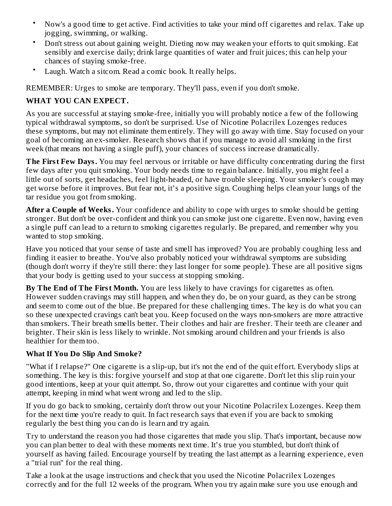- Now's a good time to get active. Find activities to take your mind off cigarettes and relax. Take up jogging, swimming, or walking.
- Don't stress out about gaining weight. Dieting now may weaken your efforts to quit smoking. Eat sensibly and exercise daily; drink large quantities of water and fruit juices; this can help your chances of staying smoke-free.
- Laugh. Watch a sitcom. Read a comic book. It really helps.

REMEMBER: Urges to smoke are temporary. They'll pass, even if you don't smoke.

## **WHAT YOU CAN EXPECT.**

As you are successful at staying smoke-free, initially you will probably notice a few of the following typical withdrawal symptoms, so don't be surprised. Use of Nicotine Polacrilex Lozenges reduces these symptoms, but may not eliminate them entirely. They will go away with time. Stay focused on your goal of becoming an ex-smoker. Research shows that if you manage to avoid all smoking in the first week (that means not having a single puff), your chances of success increase dramatically.

**The First Few Days.** You may feel nervous or irritable or have difficulty concentrating during the first few days after you quit smoking. Your body needs time to regain balance. Initially, you might feel a little out of sorts, get headaches, feel light-headed, or have trouble sleeping. Your smoker's cough may get worse before it improves. But fear not, it's a positive sign. Coughing helps clean your lungs of the tar residue you got from smoking.

**After a Couple of Weeks.** Your confidence and ability to cope with urges to smoke should be getting stronger. But don't be over-confident and think you can smoke just one cigarette. Even now, having even a single puff can lead to a return to smoking cigarettes regularly. Be prepared, and remember why you wanted to stop smoking.

Have you noticed that your sense of taste and smell has improved? You are probably coughing less and finding it easier to breathe. You've also probably noticed your withdrawal symptoms are subsiding (though don't worry if they're still there: they last longer for some people). These are all positive signs that your body is getting used to your success at stopping smoking.

**By The End of The First Month.** You are less likely to have cravings for cigarettes as often. However sudden cravings may still happen, and when they do, be on your guard, as they can be strong and seem to come out of the blue. Be prepared for these challenging times. The key is do what you can so these unexpected cravings can't beat you. Keep focused on the ways non-smokers are more attractive than smokers. Their breath smells better. Their clothes and hair are fresher. Their teeth are cleaner and brighter. Their skin is less likely to wrinkle. Not smoking around children and your friends is also healthier for them too.

## **What If You Do Slip And Smoke?**

"What if I relapse?" One cigarette is a slip-up, but it's not the end of the quit effort. Everybody slips at something. The key is this: forgive yourself and stop at that one cigarette. Don't let this slip ruin your good intentions, keep at your quit attempt. So, throw out your cigarettes and continue with your quit attempt, keeping in mind what went wrong and led to the slip.

If you do go back to smoking, certainly don't throw out your Nicotine Polacrilex Lozenges. Keep them for the next time you're ready to quit. In fact research says that even if you are back to smoking regularly the best thing you can do is learn and try again.

Try to understand the reason you had those cigarettes that made you slip. That's important, because now you can plan better to deal with these moments next time. It's true you stumbled, but don't think of yourself as having failed. Encourage yourself by treating the last attempt as a learning experience, even a "trial run" for the real thing.

Take a look at the usage instructions and check that you used the Nicotine Polacrilex Lozenges correctly and for the full 12 weeks of the program. When you try again make sure you use enough and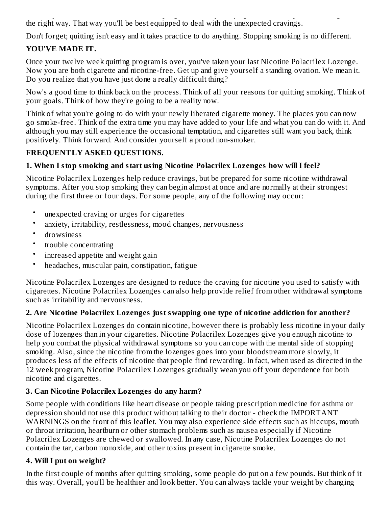correctly and for the full 12 weeks of the program. When you try again make sure you use enough and the right way. That way you'll be best equipped to deal with the unexpected cravings.

Don't forget; quitting isn't easy and it takes practice to do anything. Stopping smoking is no different.

# **YOU'VE MADE IT.**

Once your twelve week quitting program is over, you've taken your last Nicotine Polacrilex Lozenge. Now you are both cigarette and nicotine-free. Get up and give yourself a standing ovation. We mean it. Do you realize that you have just done a really difficult thing?

Now's a good time to think back on the process. Think of all your reasons for quitting smoking. Think of your goals. Think of how they're going to be a reality now.

Think of what you're going to do with your newly liberated cigarette money. The places you can now go smoke-free. Think of the extra time you may have added to your life and what you can do with it. And although you may still experience the occasional temptation, and cigarettes still want you back, think positively. Think forward. And consider yourself a proud non-smoker.

## **FREQUENTLY ASKED QUESTIONS.**

## **1. When I stop smoking and start using Nicotine Polacrilex Lozenges how will I feel?**

Nicotine Polacrilex Lozenges help reduce cravings, but be prepared for some nicotine withdrawal symptoms. After you stop smoking they can begin almost at once and are normally at their strongest during the first three or four days. For some people, any of the following may occur:

- unexpected craving or urges for cigarettes
- anxiety, irritability, restlessness, mood changes, nervousness
- drowsiness
- trouble concentrating
- increased appetite and weight gain
- headaches, muscular pain, constipation, fatigue

Nicotine Polacrilex Lozenges are designed to reduce the craving for nicotine you used to satisfy with cigarettes. Nicotine Polacrilex Lozenges can also help provide relief from other withdrawal symptoms such as irritability and nervousness.

# **2. Are Nicotine Polacrilex Lozenges just swapping one type of nicotine addiction for another?**

Nicotine Polacrilex Lozenges do contain nicotine, however there is probably less nicotine in your daily dose of lozenges than in your cigarettes. Nicotine Polacrilex Lozenges give you enough nicotine to help you combat the physical withdrawal symptoms so you can cope with the mental side of stopping smoking. Also, since the nicotine from the lozenges goes into your bloodstream more slowly, it produces less of the effects of nicotine that people find rewarding. In fact, when used as directed in the 12 week program, Nicotine Polacrilex Lozenges gradually wean you off your dependence for both nicotine and cigarettes.

## **3. Can Nicotine Polacrilex Lozenges do any harm?**

Some people with conditions like heart disease or people taking prescription medicine for asthma or depression should not use this product without talking to their doctor - check the IMPORTANT WARNINGS on the front of this leaflet. You may also experience side effects such as hiccups, mouth or throat irritation, heartburn or other stomach problems such as nausea especially if Nicotine Polacrilex Lozenges are chewed or swallowed. In any case, Nicotine Polacrilex Lozenges do not contain the tar, carbon monoxide, and other toxins present in cigarette smoke.

## **4. Will I put on weight?**

In the first couple of months after quitting smoking, some people do put on a few pounds. But think of it this way. Overall, you'll be healthier and look better. You can always tackle your weight by changing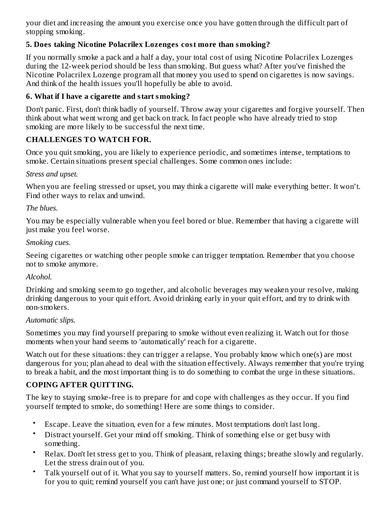your diet and increasing the amount you exercise once you have gotten through the difficult part of stopping smoking.

## **5. Does taking Nicotine Polacrilex Lozenges cost more than smoking?**

If you normally smoke a pack and a half a day, your total cost of using Nicotine Polacrilex Lozenges during the 12-week period should be less than smoking. But guess what? After you've finished the Nicotine Polacrilex Lozenge program all that money you used to spend on cigarettes is now savings. And think of the health issues you'll hopefully be able to avoid.

## **6. What if I have a cigarette and start smoking?**

Don't panic. First, don't think badly of yourself. Throw away your cigarettes and forgive yourself. Then think about what went wrong and get back on track. In fact people who have already tried to stop smoking are more likely to be successful the next time.

## **CHALLENGES TO WATCH FOR.**

Once you quit smoking, you are likely to experience periodic, and sometimes intense, temptations to smoke. Certain situations present special challenges. Some common ones include:

*Stress and upset.*

When you are feeling stressed or upset, you may think a cigarette will make everything better. It won't. Find other ways to relax and unwind.

### *The blues.*

You may be especially vulnerable when you feel bored or blue. Remember that having a cigarette will just make you feel worse.

*Smoking cues.*

Seeing cigarettes or watching other people smoke can trigger temptation. Remember that you choose not to smoke anymore.

## *Alcohol.*

Drinking and smoking seem to go together, and alcoholic beverages may weaken your resolve, making drinking dangerous to your quit effort. Avoid drinking early in your quit effort, and try to drink with non-smokers.

## *Automatic slips.*

Sometimes you may find yourself preparing to smoke without even realizing it. Watch out for those moments when your hand seems to 'automatically' reach for a cigarette.

Watch out for these situations: they can trigger a relapse. You probably know which one(s) are most dangerous for you; plan ahead to deal with the situation effectively. Always remember that you're trying to break a habit, and the most important thing is to do something to combat the urge in these situations.

# **COPING AFTER QUITTING.**

The key to staying smoke-free is to prepare for and cope with challenges as they occur. If you find yourself tempted to smoke, do something! Here are some things to consider.

- Escape. Leave the situation, even for a few minutes. Most temptations don't last long.
- Distract yourself. Get your mind off smoking. Think of something else or get busy with something.
- Relax. Don't let stress get to you. Think of pleasant, relaxing things; breathe slowly and regularly. Let the stress drain out of you.
- Talk yourself out of it. What you say to yourself matters. So, remind yourself how important it is for you to quit; remind yourself you can't have just one; or just command yourself to STOP.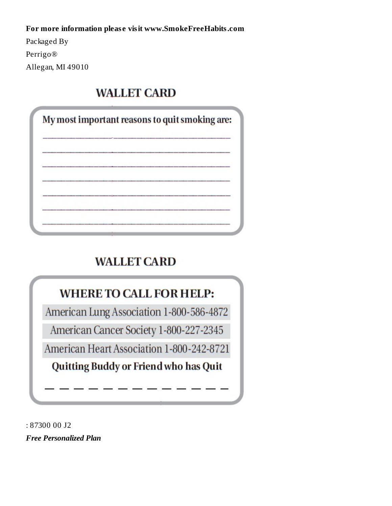### **For more information pleas e visit www.SmokeFreeHabits.com**

Packaged By Perrigo® Allegan, MI 49010

# **WALLET CARD**

My most important reasons to quit smoking are:

# **WALLET CARD**

# **WHERE TO CALL FOR HELP:**

American Lung Association 1-800-586-4872

American Cancer Society 1-800-227-2345

American Heart Association 1-800-242-8721

Quitting Buddy or Friend who has Quit

: 87300 00 J2

*Free Personalized Plan*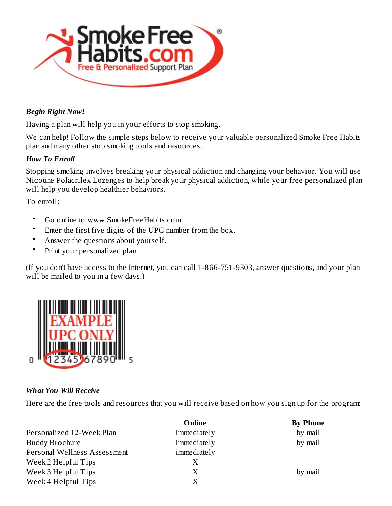

### *Begin Right Now!*

Having a plan will help you in your efforts to stop smoking.

We can help! Follow the simple steps below to receive your valuable personalized Smoke Free Habits plan and many other stop smoking tools and resources.

### *How To Enroll*

Stopping smoking involves breaking your physical addiction and changing your behavior. You will use Nicotine Polacrilex Lozenges to help break your physical addiction, while your free personalized plan will help you develop healthier behaviors.

To enroll:

- Go online to www.SmokeFreeHabits.com
- Enter the first five digits of the UPC number from the box.
- Answer the questions about yourself.
- Print your personalized plan.

(If you don't have access to the Internet, you can call 1-866-751-9303, answer questions, and your plan will be mailed to you in a few days.)



## *What You Will Receive*

Here are the free tools and resources that you will receive based on how you sign up for the program:

|                              | Online      | <b>By Phone</b> |
|------------------------------|-------------|-----------------|
| Personalized 12-Week Plan    | immediately | by mail         |
| <b>Buddy Brochure</b>        | immediately | by mail         |
| Personal Wellness Assessment | immediately |                 |
| Week 2 Helpful Tips          | X           |                 |
| Week 3 Helpful Tips          | Χ           | by mail         |
| Week 4 Helpful Tips          | X           |                 |
|                              |             |                 |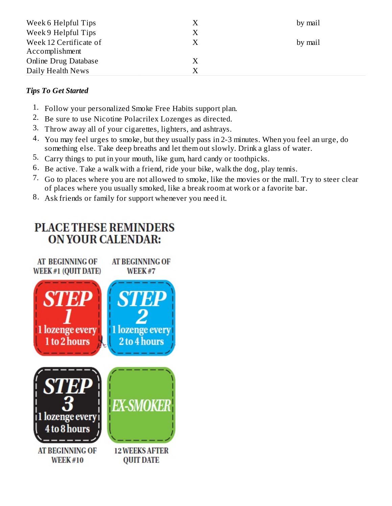| Week 6 Helpful Tips         |   | by mail |
|-----------------------------|---|---------|
| Week 9 Helpful Tips         | X |         |
| Week 12 Certificate of      |   | by mail |
| Accomplishment              |   |         |
| <b>Online Drug Database</b> | X |         |
| Daily Health News           | X |         |

### *Tips To Get Started*

- 1. Follow your personalized Smoke Free Habits support plan.
- 2. Be sure to use Nicotine Polacrilex Lozenges as directed.
- 3. Throw away all of your cigarettes, lighters, and ashtrays.
- 4. You may feel urges to smoke, but they usually pass in 2-3 minutes. When you feel an urge, do something else. Take deep breaths and let them out slowly. Drink a glass of water.
- 5. Carry things to put in your mouth, like gum, hard candy or toothpicks.
- 6. Be active. Take a walk with a friend, ride your bike, walk the dog, play tennis.
- 7. Go to places where you are not allowed to smoke, like the movies or the mall. Try to steer clear of places where you usually smoked, like a break room at work or a favorite bar.
- 8. Ask friends or family for support whenever you need it.

# **PLACE THESE REMINDERS ON YOUR CALENDAR:**

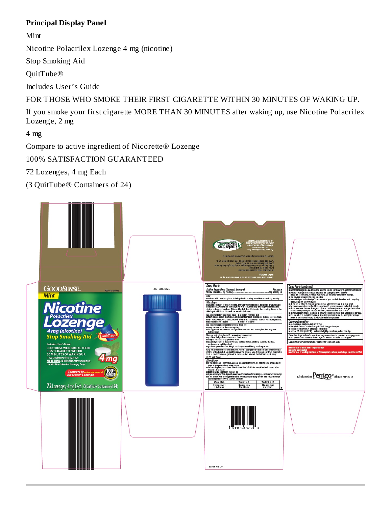## **Principal Display Panel**

Mint

Nicotine Polacrilex Lozenge 4 mg (nicotine)

Stop Smoking Aid

QuitTube®

Includes User's Guide

FOR THOSE WHO SMOKE THEIR FIRST CIGARETTE WITHIN 30 MINUTES OF WAKING UP.

If you smoke your first cigarette MORE THAN 30 MINUTES after waking up, use Nicotine Polacrilex Lozenge, 2 mg

4 mg

Compare to active ingredient of Nicorette® Lozenge

100% SATISFACTION GUARANTEED

72 Lozenges, 4 mg Each

(3 QuitTube® Containers of 24)